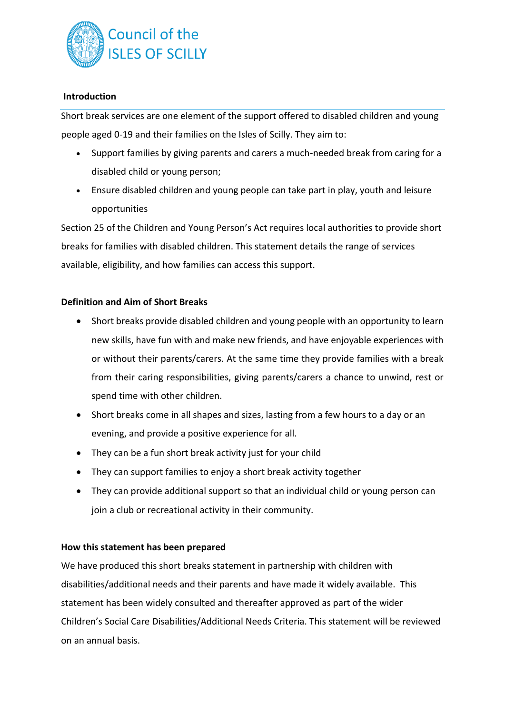

## **Introduction**

Short break services are one element of the support offered to disabled children and young people aged 0-19 and their families on the Isles of Scilly. They aim to:

- Support families by giving parents and carers a much-needed break from caring for a disabled child or young person;
- Ensure disabled children and young people can take part in play, youth and leisure opportunities

Section 25 of the Children and Young Person's Act requires local authorities to provide short breaks for families with disabled children. This statement details the range of services available, eligibility, and how families can access this support.

## **Definition and Aim of Short Breaks**

- Short breaks provide disabled children and young people with an opportunity to learn new skills, have fun with and make new friends, and have enjoyable experiences with or without their parents/carers. At the same time they provide families with a break from their caring responsibilities, giving parents/carers a chance to unwind, rest or spend time with other children.
- Short breaks come in all shapes and sizes, lasting from a few hours to a day or an evening, and provide a positive experience for all.
- They can be a fun short break activity just for your child
- They can support families to enjoy a short break activity together
- They can provide additional support so that an individual child or young person can join a club or recreational activity in their community.

#### **How this statement has been prepared**

We have produced this short breaks statement in partnership with children with disabilities/additional needs and their parents and have made it widely available. This statement has been widely consulted and thereafter approved as part of the wider Children's Social Care Disabilities/Additional Needs Criteria. This statement will be reviewed on an annual basis.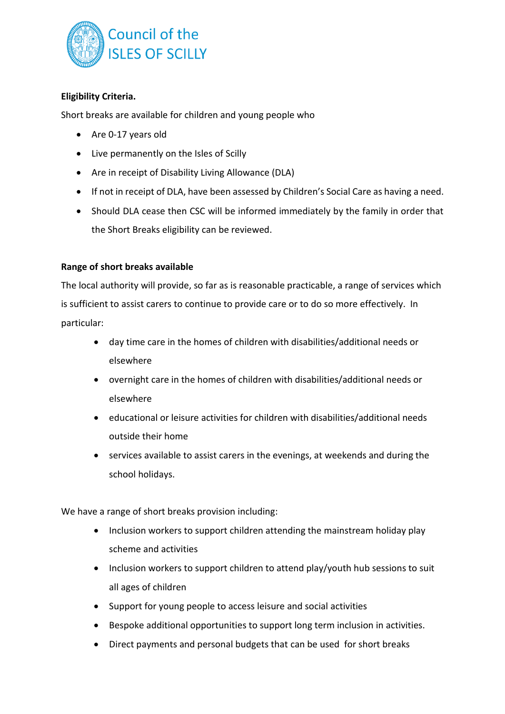

# **Eligibility Criteria.**

Short breaks are available for children and young people who

- Are 0-17 years old
- Live permanently on the Isles of Scilly
- Are in receipt of Disability Living Allowance (DLA)
- If not in receipt of DLA, have been assessed by Children's Social Care as having a need.
- Should DLA cease then CSC will be informed immediately by the family in order that the Short Breaks eligibility can be reviewed.

## **Range of short breaks available**

The local authority will provide, so far as is reasonable practicable, a range of services which is sufficient to assist carers to continue to provide care or to do so more effectively. In particular:

- day time care in the homes of children with disabilities/additional needs or elsewhere
- overnight care in the homes of children with disabilities/additional needs or elsewhere
- educational or leisure activities for children with disabilities/additional needs outside their home
- services available to assist carers in the evenings, at weekends and during the school holidays.

We have a range of short breaks provision including:

- Inclusion workers to support children attending the mainstream holiday play scheme and activities
- Inclusion workers to support children to attend play/youth hub sessions to suit all ages of children
- Support for young people to access leisure and social activities
- Bespoke additional opportunities to support long term inclusion in activities.
- Direct payments and personal budgets that can be used for short breaks